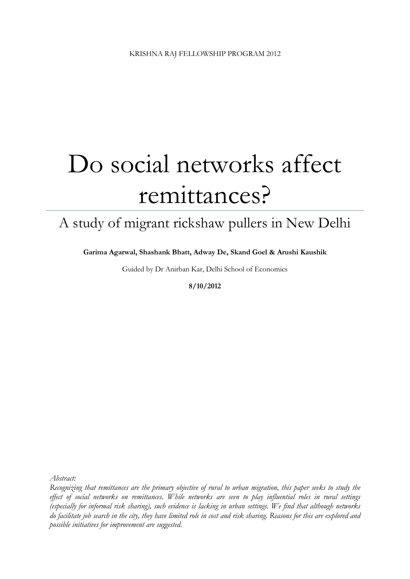# Do social networks affect remittances?

## A study of migrant rickshaw pullers in New Delhi

**Garima Agarwal, Shashank Bhatt, Adway De, Skand Goel & Arushi Kaushik**

Guided by Dr Anirban Kar, Delhi School of Economics

**8/10/2012**

*Abstract:* 

*Recognizing that remittances are the primary objective of rural to urban migration, this paper seeks to study the effect of social networks on remittances. While networks are seen to play influential roles in rural settings (especially for informal risk sharing), such evidence is lacking in urban settings. We find that although networks do facilitate job search in the city, they have limited role in cost and risk sharing. Reasons for this are explored and possible initiatives for improvement are suggested.*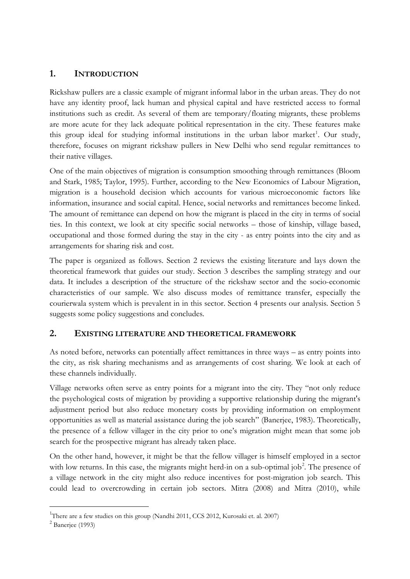## **1. INTRODUCTION**

Rickshaw pullers are a classic example of migrant informal labor in the urban areas. They do not have any identity proof, lack human and physical capital and have restricted access to formal institutions such as credit. As several of them are temporary/floating migrants, these problems are more acute for they lack adequate political representation in the city. These features make this group ideal for studying informal institutions in the urban labor market<sup>[1](#page-1-0)</sup>. Our study, therefore, focuses on migrant rickshaw pullers in New Delhi who send regular remittances to their native villages.

One of the main objectives of migration is consumption smoothing through remittances (Bloom and Stark, 1985; Taylor, 1995). Further, according to the New Economics of Labour Migration, migration is a household decision which accounts for various microeconomic factors like information, insurance and social capital. Hence, social networks and remittances become linked. The amount of remittance can depend on how the migrant is placed in the city in terms of social ties. In this context, we look at city specific social networks – those of kinship, village based, occupational and those formed during the stay in the city - as entry points into the city and as arrangements for sharing risk and cost.

The paper is organized as follows. Section 2 reviews the existing literature and lays down the theoretical framework that guides our study. Section 3 describes the sampling strategy and our data. It includes a description of the structure of the rickshaw sector and the socio-economic characteristics of our sample. We also discuss modes of remittance transfer, especially the courierwala system which is prevalent in in this sector. Section 4 presents our analysis. Section 5 suggests some policy suggestions and concludes.

## **2. EXISTING LITERATURE AND THEORETICAL FRAMEWORK**

As noted before, networks can potentially affect remittances in three ways – as entry points into the city, as risk sharing mechanisms and as arrangements of cost sharing. We look at each of these channels individually.

Village networks often serve as entry points for a migrant into the city. They "not only reduce the psychological costs of migration by providing a supportive relationship during the migrant's adjustment period but also reduce monetary costs by providing information on employment opportunities as well as material assistance during the job search" (Banerjee, 1983). Theoretically, the presence of a fellow villager in the city prior to one's migration might mean that some job search for the prospective migrant has already taken place.

On the other hand, however, it might be that the fellow villager is himself employed in a sector with low returns. In this case, the migrants might herd-in on a sub-optimal job<sup>[2](#page-1-1)</sup>. The presence of a village network in the city might also reduce incentives for post-migration job search. This could lead to overcrowding in certain job sectors. Mitra (2008) and Mitra (2010), while

 $\frac{1}{1}$ <sup>1</sup>There are a few studies on this group (Nandhi 2011, CCS 2012, Kurosaki et. al. 2007)

<span id="page-1-1"></span><span id="page-1-0"></span> $2$  Banerjee (1993)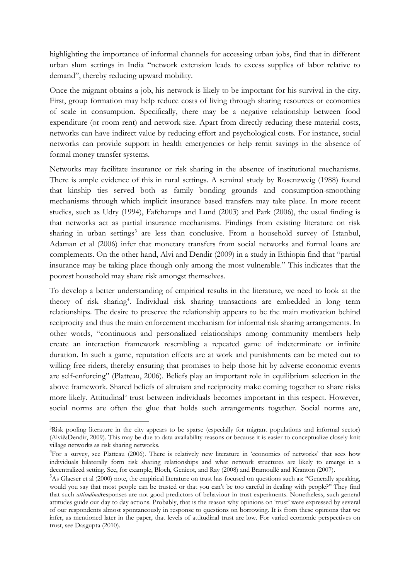highlighting the importance of informal channels for accessing urban jobs, find that in different urban slum settings in India "network extension leads to excess supplies of labor relative to demand", thereby reducing upward mobility.

Once the migrant obtains a job, his network is likely to be important for his survival in the city. First, group formation may help reduce costs of living through sharing resources or economies of scale in consumption. Specifically, there may be a negative relationship between food expenditure (or room rent) and network size. Apart from directly reducing these material costs, networks can have indirect value by reducing effort and psychological costs. For instance, social networks can provide support in health emergencies or help remit savings in the absence of formal money transfer systems.

Networks may facilitate insurance or risk sharing in the absence of institutional mechanisms. There is ample evidence of this in rural settings. A seminal study by Rosenzweig (1988) found that kinship ties served both as family bonding grounds and consumption-smoothing mechanisms through which implicit insurance based transfers may take place. In more recent studies, such as Udry (1994), Fafchamps and Lund (2003) and Park (2006), the usual finding is that networks act as partial insurance mechanisms. Findings from existing literature on risk sharing in urban settings<sup>[3](#page-2-0)</sup> are less than conclusive. From a household survey of Istanbul, Adaman et al (2006) infer that monetary transfers from social networks and formal loans are complements. On the other hand, Alvi and Dendir (2009) in a study in Ethiopia find that "partial insurance may be taking place though only among the most vulnerable." This indicates that the poorest household may share risk amongst themselves.

To develop a better understanding of empirical results in the literature, we need to look at the theory of risk sharing<sup>[4](#page-2-1)</sup>. Individual risk sharing transactions are embedded in long term relationships. The desire to preserve the relationship appears to be the main motivation behind reciprocity and thus the main enforcement mechanism for informal risk sharing arrangements. In other words, "continuous and personalized relationships among community members help create an interaction framework resembling a repeated game of indeterminate or infinite duration. In such a game, reputation effects are at work and punishments can be meted out to willing free riders, thereby ensuring that promises to help those hit by adverse economic events are self-enforcing" (Platteau, 2006). Beliefs play an important role in equilibrium selection in the above framework. Shared beliefs of altruism and reciprocity make coming together to share risks more likely. Attitudinal<sup>[5](#page-2-2)</sup> trust between individuals becomes important in this respect. However, social norms are often the glue that holds such arrangements together. Social norms are,

<span id="page-2-0"></span><sup>&</sup>lt;sup>3</sup>Risk pooling literature in the city appears to be sparse (especially for migrant populations and informal sector) (Alvi&Dendir, 2009). This may be due to data availability reasons or because it is easier to conceptualize closely-knit village networks as risk sharing networks.

<span id="page-2-1"></span><sup>&</sup>lt;sup>4</sup>For a survey, see Platteau (2006). There is relatively new literature in 'economics of networks' that sees how individuals bilaterally form risk sharing relationships and what network structures are likely to emerge in a decentralized setting. See, for example, Bloch, Genicot, and Ray (2008) and Bramoullé and Kranton (2007).

<span id="page-2-2"></span><sup>&</sup>lt;sup>5</sup>As Glaeser et al (2000) note, the empirical literature on trust has focused on questions such as: "Generally speaking, would you say that most people can be trusted or that you can't be too careful in dealing with people?'' They find that such *attitudinal*responses are not good predictors of behaviour in trust experiments. Nonetheless, such general attitudes guide our day to day actions. Probably, that is the reason why opinions on 'trust' were expressed by several of our respondents almost spontaneously in response to questions on borrowing. It is from these opinions that we infer, as mentioned later in the paper, that levels of attitudinal trust are low. For varied economic perspectives on trust, see Dasgupta (2010).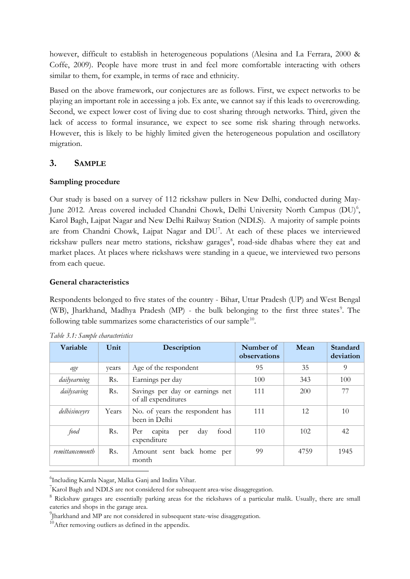however, difficult to establish in heterogeneous populations (Alesina and La Ferrara, 2000 & Coffe, 2009). People have more trust in and feel more comfortable interacting with others similar to them, for example, in terms of race and ethnicity.

Based on the above framework, our conjectures are as follows. First, we expect networks to be playing an important role in accessing a job. Ex ante, we cannot say if this leads to overcrowding. Second, we expect lower cost of living due to cost sharing through networks. Third, given the lack of access to formal insurance, we expect to see some risk sharing through networks. However, this is likely to be highly limited given the heterogeneous population and oscillatory migration.

## **3. SAMPLE**

## **Sampling procedure**

Our study is based on a survey of 112 rickshaw pullers in New Delhi, conducted during May-June 2012. Areas covered included Chandni Chowk, Delhi University North Campus (DU)<sup>[6](#page-3-0)</sup>, Karol Bagh, Lajpat Nagar and New Delhi Railway Station (NDLS). A majority of sample points are from Chandni Chowk, Lajpat Nagar and DU<sup>[7](#page-3-1)</sup>. At each of these places we interviewed rickshaw pullers near metro stations, rickshaw garages<sup>[8](#page-3-2)</sup>, road-side dhabas where they eat and market places. At places where rickshaws were standing in a queue, we interviewed two persons from each queue.

## **General characteristics**

Respondents belonged to five states of the country - Bihar, Uttar Pradesh (UP) and West Bengal (WB), Jharkhand, Madhya Pradesh (MP) - the bulk belonging to the first three states<sup>[9](#page-3-3)</sup>. The following table summarizes some characteristics of our sample<sup>[10](#page-3-4)</sup>.

| Variable        | Unit  | Description                                            | Number of<br>observations | Mean | Standard<br>deviation |
|-----------------|-------|--------------------------------------------------------|---------------------------|------|-----------------------|
| age             | years | Age of the respondent                                  | 95                        | 35   | 9                     |
| dailyearning    | Rs.   | Earnings per day                                       | 100                       | 343  | 100                   |
| dailysaving     | Rs.   | Savings per day or earnings net<br>of all expenditures | 111                       | 200  | 77                    |
| delhisinceyrs   | Years | No. of years the respondent has<br>been in Delhi       | 111                       | 12   | 10                    |
| food            | Rs.   | Per<br>food<br>capita<br>day<br>per<br>expenditure     | 110                       | 102  | 42                    |
| remittancemonth | Rs.   | Amount sent back home per<br>month                     | 99                        | 4759 | 1945                  |

| Table 3.1: Sample characteristics |  |
|-----------------------------------|--|
|-----------------------------------|--|

<span id="page-3-0"></span> $\frac{1}{6}$ <sup>6</sup>Including Kamla Nagar, Malka Ganj and Indira Vihar.

<span id="page-3-1"></span> ${}^{7}$ Karol Bagh and NDLS are not considered for subsequent area-wise disaggregation.

<span id="page-3-2"></span><sup>&</sup>lt;sup>8</sup> Rickshaw garages are essentially parking areas for the rickshaws of a particular malik. Usually, there are small eateries and shops in the garage area.

<span id="page-3-3"></span><sup>9</sup> Jharkhand and MP are not considered in subsequent state-wise disaggregation.

<span id="page-3-4"></span><sup>&</sup>lt;sup>10</sup>After removing outliers as defined in the appendix.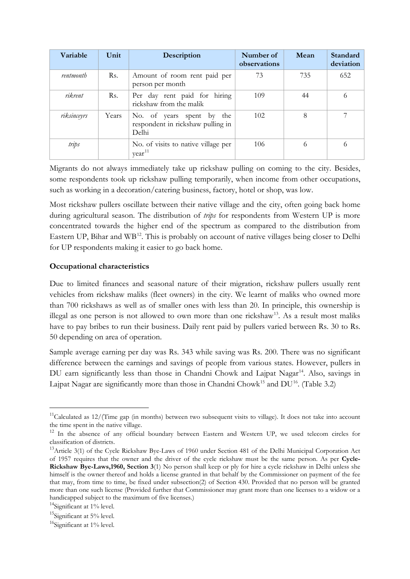| Variable    | Unit  | Description                                                             | Number of<br>observations | Mean | Standard<br>deviation |
|-------------|-------|-------------------------------------------------------------------------|---------------------------|------|-----------------------|
| rentmonth   | Rs.   | Amount of room rent paid per<br>person per month                        | 73                        | 735  | 652                   |
| rikrent     | Rs.   | Per day rent paid for hiring<br>rickshaw from the malik                 | 109                       | 44   | 6                     |
| riksinceyrs | Years | No. of years spent by the<br>respondent in rickshaw pulling in<br>Delhi | 102                       | 8    |                       |
| trips       |       | No. of visits to native village per<br>$year^{11}$                      | 106                       | 6    | 6                     |

Migrants do not always immediately take up rickshaw pulling on coming to the city. Besides, some respondents took up rickshaw pulling temporarily, when income from other occupations, such as working in a decoration/catering business, factory, hotel or shop, was low.

Most rickshaw pullers oscillate between their native village and the city, often going back home during agricultural season. The distribution of *trips* for respondents from Western UP is more concentrated towards the higher end of the spectrum as compared to the distribution from Eastern UP, Bihar and WB<sup>[12](#page-4-1)</sup>. This is probably on account of native villages being closer to Delhi for UP respondents making it easier to go back home.

## **Occupational characteristics**

Due to limited finances and seasonal nature of their migration, rickshaw pullers usually rent vehicles from rickshaw maliks (fleet owners) in the city. We learnt of maliks who owned more than 700 rickshaws as well as of smaller ones with less than 20. In principle, this ownership is illegal as one person is not allowed to own more than one rickshaw<sup>[13](#page-4-2)</sup>. As a result most maliks have to pay bribes to run their business. Daily rent paid by pullers varied between Rs. 30 to Rs. 50 depending on area of operation.

Sample average earning per day was Rs. 343 while saving was Rs. 200. There was no significant difference between the earnings and savings of people from various states. However, pullers in DU earn significantly less than those in Chandni Chowk and Lajpat Nagar<sup>14</sup>. Also, savings in Lajpat Nagar are significantly more than those in Chandni Chowk<sup>[15](#page-4-4)</sup> and  $DU^{16}$  $DU^{16}$  $DU^{16}$ . (Table 3.2)

<span id="page-4-0"></span> $11$ Calculated as  $12/(Time)$  gap (in months) between two subsequent visits to village). It does not take into account the time spent in the native village.

<span id="page-4-1"></span><sup>&</sup>lt;sup>12</sup> In the absence of any official boundary between Eastern and Western UP, we used telecom circles for classification of districts.

<span id="page-4-2"></span><sup>13</sup>Article 3(1) of the Cycle Rickshaw Bye-Laws of 1960 under Section 481 of the Delhi Municipal Corporation Act of 1957 requires that the owner and the driver of the cycle rickshaw must be the same person. As per **Cycle-Rickshaw Bye-Laws,1960, Section 3**(1) No person shall keep or ply for hire a cycle rickshaw in Delhi unless she himself is the owner thereof and holds a license granted in that behalf by the Commissioner on payment of the fee that may, from time to time, be fixed under subsection(2) of Section 430. Provided that no person will be granted more than one such license (Provided further that Commissioner may grant more than one licenses to a widow or a handicapped subject to the maximum of five licenses.)

<span id="page-4-3"></span> $14$ Significant at  $1\%$  level.

<span id="page-4-4"></span><sup>&</sup>lt;sup>15</sup>Significant at 5% level.

<span id="page-4-5"></span><sup>&</sup>lt;sup>16</sup>Significant at 1% level.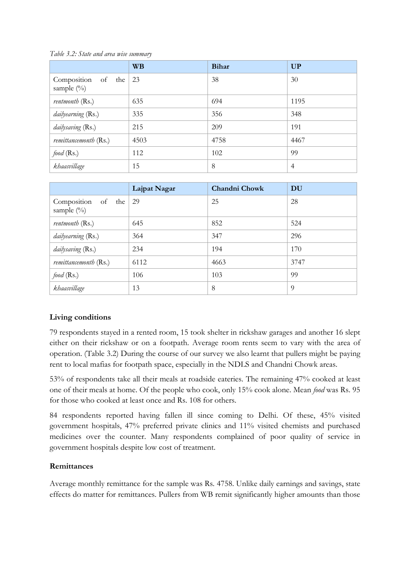|                                                | <b>WB</b> | <b>Bihar</b> | <b>UP</b>      |
|------------------------------------------------|-----------|--------------|----------------|
| Composition of the $\vert$ 23<br>sample $(\%)$ |           | 38           | 30             |
| rentmonth (Rs.)                                | 635       | 694          | 1195           |
| dailyearning (Rs.)                             | 335       | 356          | 348            |
| dailysaving (Rs.)                              | 215       | 209          | 191            |
| remittancemonth (Rs.)                          | 4503      | 4758         | 4467           |
| food $(Rs.)$                                   | 112       | 102          | 99             |
| khaasvillage                                   | 15        | 8            | $\overline{4}$ |

*Table 3.2: State and area wise summary*

|                                                 | Lajpat Nagar | <b>Chandni Chowk</b> | DU   |
|-------------------------------------------------|--------------|----------------------|------|
| Composition of the $\sqrt{29}$<br>sample $(\%)$ |              | 25                   | 28   |
| rentmonth (Rs.)                                 | 645          | 852                  | 524  |
| dailyearning (Rs.)                              | 364          | 347                  | 296  |
| dailysaving (Rs.)                               | 234          | 194                  | 170  |
| <i>remittancemonth</i> (Rs.)                    | 6112         | 4663                 | 3747 |
| food $(Rs.)$                                    | 106          | 103                  | 99   |
| khaasvillage                                    | 13           | 8                    | 9    |

## **Living conditions**

79 respondents stayed in a rented room, 15 took shelter in rickshaw garages and another 16 slept either on their rickshaw or on a footpath. Average room rents seem to vary with the area of operation. (Table 3.2) During the course of our survey we also learnt that pullers might be paying rent to local mafias for footpath space, especially in the NDLS and Chandni Chowk areas.

53% of respondents take all their meals at roadside eateries. The remaining 47% cooked at least one of their meals at home. Of the people who cook, only 15% cook alone. Mean *food* was Rs. 95 for those who cooked at least once and Rs. 108 for others.

84 respondents reported having fallen ill since coming to Delhi. Of these, 45% visited government hospitals, 47% preferred private clinics and 11% visited chemists and purchased medicines over the counter. Many respondents complained of poor quality of service in government hospitals despite low cost of treatment.

#### **Remittances**

Average monthly remittance for the sample was Rs. 4758. Unlike daily earnings and savings, state effects do matter for remittances. Pullers from WB remit significantly higher amounts than those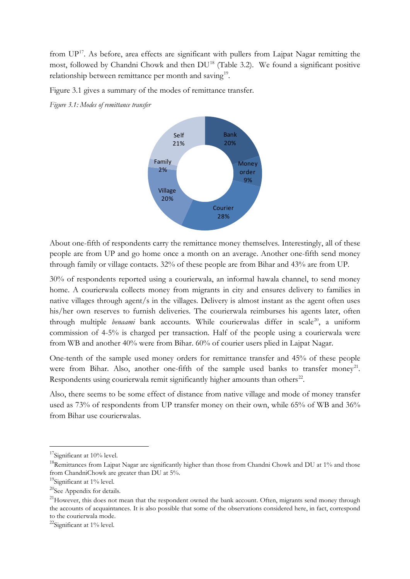from  $UP<sup>17</sup>$ . As before, area effects are significant with pullers from Lajpat Nagar remitting the most, followed by Chandni Chowk and then  $DU^{18}$  $DU^{18}$  $DU^{18}$  (Table 3.2). We found a significant positive relationship between remittance per month and saving<sup>19</sup>.

Figure 3.1 gives a summary of the modes of remittance transfer.

*Figure 3.1: Modes of remittance transfer*



About one-fifth of respondents carry the remittance money themselves. Interestingly, all of these people are from UP and go home once a month on an average. Another one-fifth send money through family or village contacts. 32% of these people are from Bihar and 43% are from UP.

30% of respondents reported using a courierwala, an informal hawala channel, to send money home. A courierwala collects money from migrants in city and ensures delivery to families in native villages through agent/s in the villages. Delivery is almost instant as the agent often uses his/her own reserves to furnish deliveries. The courierwala reimburses his agents later, often through multiple *benaami* bank accounts. While courierwalas differ in scale<sup>20</sup>, a uniform commission of 4-5% is charged per transaction. Half of the people using a courierwala were from WB and another 40% were from Bihar. 60% of courier users plied in Lajpat Nagar.

One-tenth of the sample used money orders for remittance transfer and 45% of these people were from Bihar. Also, another one-fifth of the sample used banks to transfer money<sup>21</sup>. Respondents using courierwala remit significantly higher amounts than others<sup>[22](#page-6-5)</sup>.

Also, there seems to be some effect of distance from native village and mode of money transfer used as 73% of respondents from UP transfer money on their own, while 65% of WB and 36% from Bihar use courierwalas.

<span id="page-6-0"></span><sup>&</sup>lt;sup>17</sup>Significant at 10% level.

<span id="page-6-1"></span><sup>&</sup>lt;sup>18</sup>Remittances from Lajpat Nagar are significantly higher than those from Chandni Chowk and DU at 1% and those from ChandniChowk are greater than DU at 5%.

<span id="page-6-2"></span><sup>&</sup>lt;sup>19</sup>Significant at 1% level.

<span id="page-6-3"></span><sup>&</sup>lt;sup>20</sup>See Appendix for details.

<span id="page-6-4"></span><sup>&</sup>lt;sup>21</sup>However, this does not mean that the respondent owned the bank account. Often, migrants send money through the accounts of acquaintances. It is also possible that some of the observations considered here, in fact, correspond to the courierwala mode.

<span id="page-6-5"></span><sup>&</sup>lt;sup>22</sup>Significant at 1% level.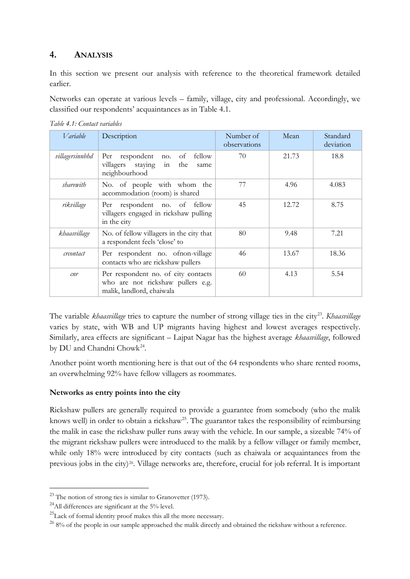## **4. ANALYSIS**

In this section we present our analysis with reference to the theoretical framework detailed earlier.

Networks can operate at various levels – family, village, city and professional. Accordingly, we classified our respondents' acquaintances as in Table 4.1.

| Table 4.1: Contact variables |  |
|------------------------------|--|
|------------------------------|--|

| <i>V</i> ariable | Description                                                                                           | Number of<br>observations | Mean  | Standard<br>deviation |
|------------------|-------------------------------------------------------------------------------------------------------|---------------------------|-------|-----------------------|
| villagersinnbhd  | Per respondent<br>fellow<br>οf<br>no.<br>villagers staying in<br>the<br>same<br>neighbourhood         | 70                        | 21.73 | 18.8                  |
| sharewith        | No. of people with whom the<br>accommodation (room) is shared                                         | 77                        | 4.96  | 4.083                 |
| rikvillage       | Per respondent no. of fellow<br>villagers engaged in rickshaw pulling<br>in the city                  | 45                        | 12.72 | 8.75                  |
| khaasvillage     | No. of fellow villagers in the city that<br>a respondent feels 'close' to                             | 80                        | 9.48  | 7.21                  |
| creontact        | Per respondent no. ofnon-village<br>contacts who are rickshaw pullers                                 | 46                        | 13.67 | 18.36                 |
| cnr              | Per respondent no. of city contacts<br>who are not rickshaw pullers e.g.<br>malik, landlord, chaiwala | 60                        | 4.13  | 5.54                  |

The variable *khaasvillage* tries to capture the number of strong village ties in the city<sup>23</sup>. *Khaasvillage* varies by state, with WB and UP migrants having highest and lowest averages respectively. Similarly, area effects are significant – Lajpat Nagar has the highest average *khaasvillage*, followed by DU and Chandni Chowk<sup>[24](#page-7-1)</sup>.

Another point worth mentioning here is that out of the 64 respondents who share rented rooms, an overwhelming 92% have fellow villagers as roommates.

## **Networks as entry points into the city**

Rickshaw pullers are generally required to provide a guarantee from somebody (who the malik knows well) in order to obtain a rickshaw<sup>25</sup>. The guarantor takes the responsibility of reimbursing the malik in case the rickshaw puller runs away with the vehicle. In our sample, a sizeable 74% of the migrant rickshaw pullers were introduced to the malik by a fellow villager or family member, while only 18% were introduced by city contacts (such as chaiwala or acquaintances from the previous jobs in the city)[26.](#page-7-3) Village networks are, therefore, crucial for job referral. It is important

<span id="page-7-0"></span> $23$  The notion of strong ties is similar to Granovetter (1973).

<span id="page-7-1"></span> $^{24}$ All differences are significant at the 5% level.

<span id="page-7-2"></span> $^{25}$ Lack of formal identity proof makes this all the more necessary.

<span id="page-7-3"></span><sup>&</sup>lt;sup>26</sup> 8% of the people in our sample approached the malik directly and obtained the rickshaw without a reference.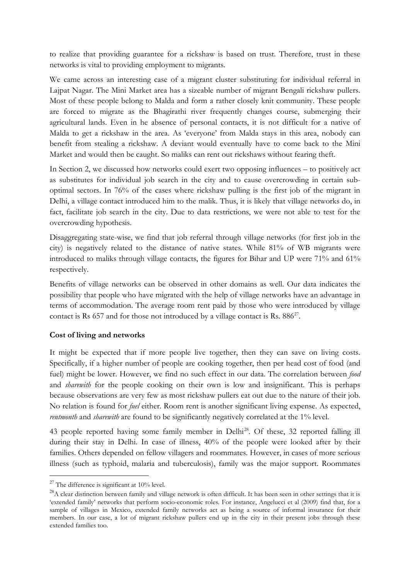to realize that providing guarantee for a rickshaw is based on trust. Therefore, trust in these networks is vital to providing employment to migrants.

We came across an interesting case of a migrant cluster substituting for individual referral in Lajpat Nagar. The Mini Market area has a sizeable number of migrant Bengali rickshaw pullers. Most of these people belong to Malda and form a rather closely knit community. These people are forced to migrate as the Bhagirathi river frequently changes course, submerging their agricultural lands. Even in he absence of personal contacts, it is not difficult for a native of Malda to get a rickshaw in the area. As 'everyone' from Malda stays in this area, nobody can benefit from stealing a rickshaw. A deviant would eventually have to come back to the Mini Market and would then be caught. So maliks can rent out rickshaws without fearing theft.

In Section 2, we discussed how networks could exert two opposing influences – to positively act as substitutes for individual job search in the city and to cause overcrowding in certain suboptimal sectors. In 76% of the cases where rickshaw pulling is the first job of the migrant in Delhi, a village contact introduced him to the malik. Thus, it is likely that village networks do, in fact, facilitate job search in the city. Due to data restrictions, we were not able to test for the overcrowding hypothesis.

Disaggregating state-wise, we find that job referral through village networks (for first job in the city) is negatively related to the distance of native states. While 81% of WB migrants were introduced to maliks through village contacts, the figures for Bihar and UP were 71% and 61% respectively.

Benefits of village networks can be observed in other domains as well. Our data indicates the possibility that people who have migrated with the help of village networks have an advantage in terms of accommodation. The average room rent paid by those who were introduced by village contact is Rs  $657$  and for those not introduced by a village contact is Rs.  $886^{27}$ .

#### **Cost of living and networks**

It might be expected that if more people live together, then they can save on living costs. Specifically, if a higher number of people are cooking together, then per head cost of food (and fuel) might be lower. However, we find no such effect in our data. The correlation between *food* and *sharewith* for the people cooking on their own is low and insignificant. This is perhaps because observations are very few as most rickshaw pullers eat out due to the nature of their job. No relation is found for *fuel* either. Room rent is another significant living expense. As expected, *rentmonth* and *sharewith* are found to be significantly negatively correlated at the 1% level.

43 people reported having some family member in Delhi<sup>[28](#page-8-1)</sup>. Of these, 32 reported falling ill during their stay in Delhi. In case of illness, 40% of the people were looked after by their families. Others depended on fellow villagers and roommates. However, in cases of more serious illness (such as typhoid, malaria and tuberculosis), family was the major support. Roommates

<span id="page-8-0"></span> $27$  The difference is significant at 10% level.

<span id="page-8-1"></span><sup>&</sup>lt;sup>28</sup>A clear distinction between family and village network is often difficult. It has been seen in other settings that it is 'extended family' networks that perform socio-economic roles. For instance, Angelucci et al (2009) find that, for a sample of villages in Mexico, extended family networks act as being a source of informal insurance for their members. In our case, a lot of migrant rickshaw pullers end up in the city in their present jobs through these extended families too.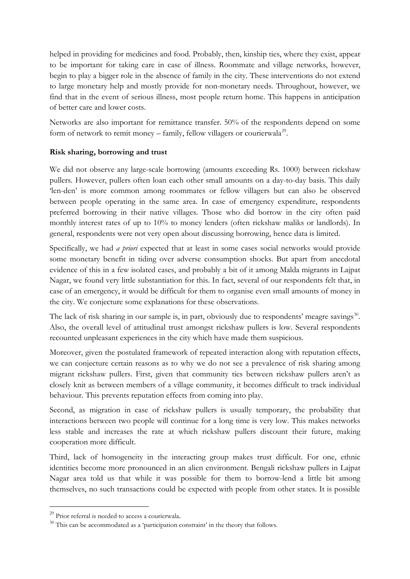helped in providing for medicines and food. Probably, then, kinship ties, where they exist, appear to be important for taking care in case of illness. Roommate and village networks, however, begin to play a bigger role in the absence of family in the city. These interventions do not extend to large monetary help and mostly provide for non-monetary needs. Throughout, however, we find that in the event of serious illness, most people return home. This happens in anticipation of better care and lower costs.

Networks are also important for remittance transfer. 50% of the respondents depend on some form of network to remit money – family, fellow villagers or courierwala<sup>29</sup>.

## **Risk sharing, borrowing and trust**

We did not observe any large-scale borrowing (amounts exceeding Rs. 1000) between rickshaw pullers. However, pullers often loan each other small amounts on a day-to-day basis. This daily 'len-den' is more common among roommates or fellow villagers but can also be observed between people operating in the same area. In case of emergency expenditure, respondents preferred borrowing in their native villages. Those who did borrow in the city often paid monthly interest rates of up to 10% to money lenders (often rickshaw maliks or landlords). In general, respondents were not very open about discussing borrowing, hence data is limited.

Specifically, we had *a priori* expected that at least in some cases social networks would provide some monetary benefit in tiding over adverse consumption shocks. But apart from anecdotal evidence of this in a few isolated cases, and probably a bit of it among Malda migrants in Lajpat Nagar, we found very little substantiation for this. In fact, several of our respondents felt that, in case of an emergency, it would be difficult for them to organise even small amounts of money in the city. We conjecture some explanations for these observations.

The lack of risk sharing in our sample is, in part, obviously due to respondents' meagre savings<sup>30</sup>. Also, the overall level of attitudinal trust amongst rickshaw pullers is low. Several respondents recounted unpleasant experiences in the city which have made them suspicious.

Moreover, given the postulated framework of repeated interaction along with reputation effects, we can conjecture certain reasons as to why we do not see a prevalence of risk sharing among migrant rickshaw pullers. First, given that community ties between rickshaw pullers aren't as closely knit as between members of a village community, it becomes difficult to track individual behaviour. This prevents reputation effects from coming into play.

Second, as migration in case of rickshaw pullers is usually temporary, the probability that interactions between two people will continue for a long time is very low. This makes networks less stable and increases the rate at which rickshaw pullers discount their future, making cooperation more difficult.

Third, lack of homogeneity in the interacting group makes trust difficult. For one, ethnic identities become more pronounced in an alien environment. Bengali rickshaw pullers in Lajpat Nagar area told us that while it was possible for them to borrow-lend a little bit among themselves, no such transactions could be expected with people from other states. It is possible

<span id="page-9-0"></span><sup>&</sup>lt;sup>29</sup> Prior referral is needed to access a courierwala.

<span id="page-9-1"></span> $30$  This can be accommodated as a 'participation constraint' in the theory that follows.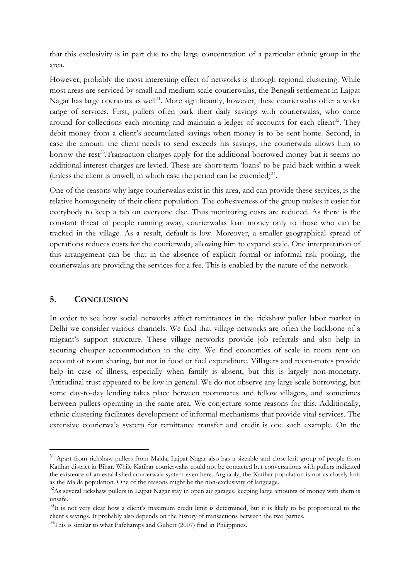that this exclusivity is in part due to the large concentration of a particular ethnic group in the area.

However, probably the most interesting effect of networks is through regional clustering. While most areas are serviced by small and medium scale courierwalas, the Bengali settlement in Lajpat Nagar has large operators as well<sup>[31](#page-10-0)</sup>. More significantly, however, these courierwalas offer a wider range of services. First, pullers often park their daily savings with courierwalas, who come around for collections each morning and maintain a ledger of accounts for each client<sup>32</sup>. They debit money from a client's accumulated savings when money is to be sent home. Second, in case the amount the client needs to send exceeds his savings, the courierwala allows him to borrow the rest<sup>[33](#page-10-2)</sup>. Transaction charges apply for the additional borrowed money but it seems no additional interest charges are levied. These are short-term 'loans' to be paid back within a week (unless the client is unwell, in which case the period can be extended) $34$ .

One of the reasons why large courierwalas exist in this area, and can provide these services, is the relative homogeneity of their client population. The cohesiveness of the group makes it easier for everybody to keep a tab on everyone else. Thus monitoring costs are reduced. As there is the constant threat of people running away, courierwalas loan money only to those who can be tracked in the village. As a result, default is low. Moreover, a smaller geographical spread of operations reduces costs for the courierwala, allowing him to expand scale. One interpretation of this arrangement can be that in the absence of explicit formal or informal risk pooling, the courierwalas are providing the services for a fee. This is enabled by the nature of the network.

#### **5. CONCLUSION**

In order to see how social networks affect remittances in the rickshaw puller labor market in Delhi we consider various channels. We find that village networks are often the backbone of a migrant's support structure. These village networks provide job referrals and also help in securing cheaper accommodation in the city. We find economies of scale in room rent on account of room sharing, but not in food or fuel expenditure. Villagers and room-mates provide help in case of illness, especially when family is absent, but this is largely non-monetary. Attitudinal trust appeared to be low in general. We do not observe any large scale borrowing, but some day-to-day lending takes place between roommates and fellow villagers, and sometimes between pullers operating in the same area. We conjecture some reasons for this. Additionally, ethnic clustering facilitates development of informal mechanisms that provide vital services. The extensive courierwala system for remittance transfer and credit is one such example. On the

<span id="page-10-0"></span><sup>&</sup>lt;sup>31</sup> Apart from rickshaw pullers from Malda, Lajpat Nagar also has a sizeable and close-knit group of people from Katihar district in Bihar. While Katihar courierwalas could not be contacted but conversations with pullers indicated the existence of an established courierwala system even here. Arguably, the Katihar population is not as closely knit as the Malda population. One of the reasons might be the non-exclusivity of language.

<span id="page-10-1"></span><sup>&</sup>lt;sup>32</sup>As several rickshaw pullers in Lajpat Nagar stay in open air garages, keeping large amounts of money with them is unsafe.

<span id="page-10-2"></span> $33$ It is not very clear how a client's maximum credit limit is determined, but it is likely to be proportional to the client's savings. It probably also depends on the history of transactions between the two parties.

<span id="page-10-3"></span> $34$ This is similar to what Fafchamps and Gubert (2007) find in Philippines.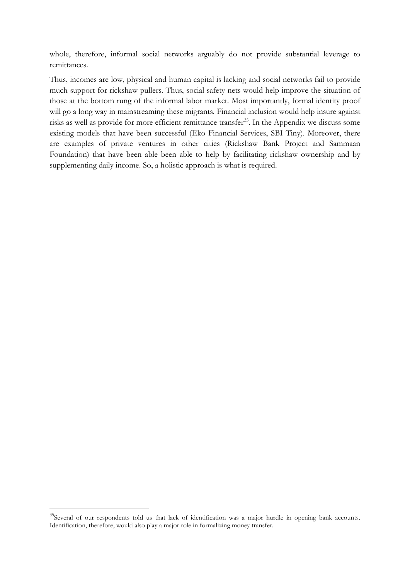whole, therefore, informal social networks arguably do not provide substantial leverage to remittances.

Thus, incomes are low, physical and human capital is lacking and social networks fail to provide much support for rickshaw pullers. Thus, social safety nets would help improve the situation of those at the bottom rung of the informal labor market. Most importantly, formal identity proof will go a long way in mainstreaming these migrants. Financial inclusion would help insure against risks as well as provide for more efficient remittance transfer<sup>[35](#page-11-0)</sup>. In the Appendix we discuss some existing models that have been successful (Eko Financial Services, SBI Tiny). Moreover, there are examples of private ventures in other cities (Rickshaw Bank Project and Sammaan Foundation) that have been able been able to help by facilitating rickshaw ownership and by supplementing daily income. So, a holistic approach is what is required.

<span id="page-11-0"></span><sup>&</sup>lt;sup>35</sup>Several of our respondents told us that lack of identification was a major hurdle in opening bank accounts. Identification, therefore, would also play a major role in formalizing money transfer.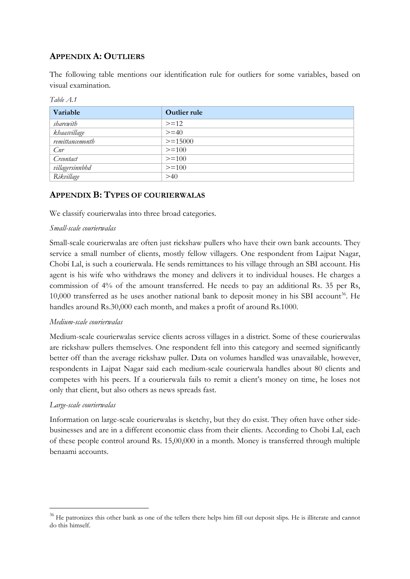## **APPENDIX A: OUTLIERS**

The following table mentions our identification rule for outliers for some variables, based on visual examination.

| Variable        | <b>Outlier rule</b> |
|-----------------|---------------------|
| sharewith       | $>=12$              |
| khaasvillage    | $>=$ 40             |
| remittancemonth | $>=15000$           |
| Cnr             | $>=100$             |
| Crcontact       | $>=100$             |
| villagersinnbhd | $>=100$             |
| Rikvillage      | $>40$               |

*Table A.1*

## **APPENDIX B: TYPES OF COURIERWALAS**

We classify courierwalas into three broad categories.

#### *Small-scale courierwalas*

Small-scale courierwalas are often just rickshaw pullers who have their own bank accounts. They service a small number of clients, mostly fellow villagers. One respondent from Lajpat Nagar, Chobi Lal, is such a courierwala. He sends remittances to his village through an SBI account. His agent is his wife who withdraws the money and delivers it to individual houses. He charges a commission of 4% of the amount transferred. He needs to pay an additional Rs. 35 per Rs, 10,000 transferred as he uses another national bank to deposit money in his SBI account<sup>[36](#page-12-0)</sup>. He handles around Rs.30,000 each month, and makes a profit of around Rs.1000.

#### *Medium-scale courierwalas*

Medium-scale courierwalas service clients across villages in a district. Some of these courierwalas are rickshaw pullers themselves. One respondent fell into this category and seemed significantly better off than the average rickshaw puller. Data on volumes handled was unavailable, however, respondents in Lajpat Nagar said each medium-scale courierwala handles about 80 clients and competes with his peers. If a courierwala fails to remit a client's money on time, he loses not only that client, but also others as news spreads fast.

#### *Large-scale courierwalas*

Information on large-scale courierwalas is sketchy, but they do exist. They often have other sidebusinesses and are in a different economic class from their clients. According to Chobi Lal, each of these people control around Rs. 15,00,000 in a month. Money is transferred through multiple benaami accounts.

<span id="page-12-0"></span><sup>&</sup>lt;sup>36</sup> He patronizes this other bank as one of the tellers there helps him fill out deposit slips. He is illiterate and cannot do this himself.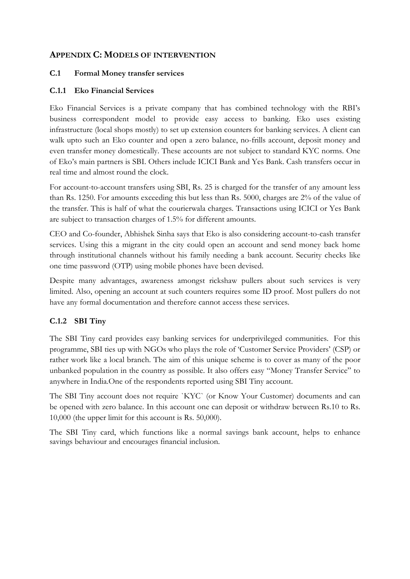## **APPENDIX C: MODELS OF INTERVENTION**

#### **C.1 Formal Money transfer services**

## **C.1.1 Eko Financial Services**

Eko Financial Services is a private company that has combined technology with the RBI's business correspondent model to provide easy access to banking. Eko uses existing infrastructure (local shops mostly) to set up extension counters for banking services. A client can walk upto such an Eko counter and open a zero balance, no-frills account, deposit money and even transfer money domestically. These accounts are not subject to standard KYC norms. One of Eko's main partners is SBI. Others include ICICI Bank and Yes Bank. Cash transfers occur in real time and almost round the clock.

For account-to-account transfers using SBI, Rs. 25 is charged for the transfer of any amount less than Rs. 1250. For amounts exceeding this but less than Rs. 5000, charges are 2% of the value of the transfer. This is half of what the courierwala charges. Transactions using ICICI or Yes Bank are subject to transaction charges of 1.5% for different amounts.

CEO and Co-founder, Abhishek Sinha says that Eko is also considering account-to-cash transfer services. Using this a migrant in the city could open an account and send money back home through institutional channels without his family needing a bank account. Security checks like one time password (OTP) using mobile phones have been devised.

Despite many advantages, awareness amongst rickshaw pullers about such services is very limited. Also, opening an account at such counters requires some ID proof. Most pullers do not have any formal documentation and therefore cannot access these services.

## **C.1.2 SBI Tiny**

The SBI Tiny card provides easy banking services for underprivileged communities. For this programme, SBI ties up with NGOs who plays the role of 'Customer Service Providers' (CSP) or rather work like a local branch. The aim of this unique scheme is to cover as many of the poor unbanked population in the country as possible. It also offers easy "Money Transfer Service" to anywhere in India.One of the respondents reported using SBI Tiny account.

The SBI Tiny account does not require `KYC` (or Know Your Customer) documents and can be opened with zero balance. In this account one can deposit or withdraw between Rs.10 to Rs. 10,000 (the upper limit for this account is Rs. 50,000).

The SBI Tiny card, which functions like a normal savings bank account, helps to enhance savings behaviour and encourages financial inclusion.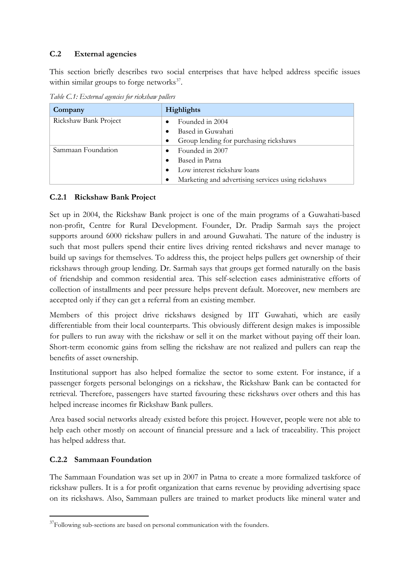## **C.2 External agencies**

This section briefly describes two social enterprises that have helped address specific issues within similar groups to forge networks $37$ .

*Table C.1: External agencies for rickshaw pullers*

| Company               | <b>Highlights</b>                                  |
|-----------------------|----------------------------------------------------|
| Rickshaw Bank Project | Founded in 2004                                    |
|                       | Based in Guwahati                                  |
|                       | Group lending for purchasing rickshaws             |
| Sammaan Foundation    | Founded in 2007                                    |
|                       | Based in Patna                                     |
|                       | Low interest rickshaw loans                        |
|                       | Marketing and advertising services using rickshaws |

## **C.2.1 Rickshaw Bank Project**

Set up in 2004, the Rickshaw Bank project is one of the main programs of a Guwahati-based non-profit, Centre for Rural Development. Founder, Dr. Pradip Sarmah says the project supports around 6000 rickshaw pullers in and around Guwahati. The nature of the industry is such that most pullers spend their entire lives driving rented rickshaws and never manage to build up savings for themselves. To address this, the project helps pullers get ownership of their rickshaws through group lending. Dr. Sarmah says that groups get formed naturally on the basis of friendship and common residential area. This self-selection eases administrative efforts of collection of installments and peer pressure helps prevent default. Moreover, new members are accepted only if they can get a referral from an existing member.

Members of this project drive rickshaws designed by IIT Guwahati, which are easily differentiable from their local counterparts. This obviously different design makes is impossible for pullers to run away with the rickshaw or sell it on the market without paying off their loan. Short-term economic gains from selling the rickshaw are not realized and pullers can reap the benefits of asset ownership.

Institutional support has also helped formalize the sector to some extent. For instance, if a passenger forgets personal belongings on a rickshaw, the Rickshaw Bank can be contacted for retrieval. Therefore, passengers have started favouring these rickshaws over others and this has helped increase incomes fir Rickshaw Bank pullers.

Area based social networks already existed before this project. However, people were not able to help each other mostly on account of financial pressure and a lack of traceability. This project has helped address that.

## **C.2.2 Sammaan Foundation**

The Sammaan Foundation was set up in 2007 in Patna to create a more formalized taskforce of rickshaw pullers. It is a for profit organization that earns revenue by providing advertising space on its rickshaws. Also, Sammaan pullers are trained to market products like mineral water and

<span id="page-14-0"></span> $37$ Following sub-sections are based on personal communication with the founders.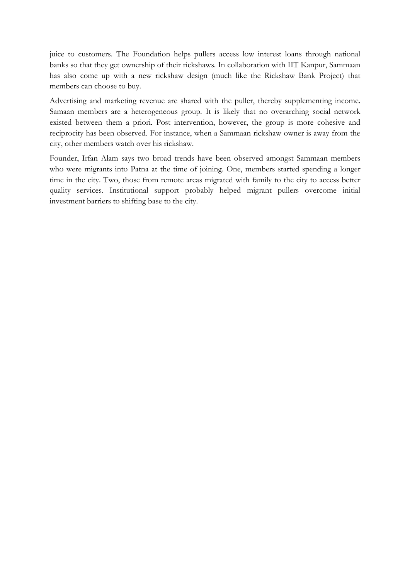juice to customers. The Foundation helps pullers access low interest loans through national banks so that they get ownership of their rickshaws. In collaboration with IIT Kanpur, Sammaan has also come up with a new rickshaw design (much like the Rickshaw Bank Project) that members can choose to buy.

Advertising and marketing revenue are shared with the puller, thereby supplementing income. Samaan members are a heterogeneous group. It is likely that no overarching social network existed between them a priori. Post intervention, however, the group is more cohesive and reciprocity has been observed. For instance, when a Sammaan rickshaw owner is away from the city, other members watch over his rickshaw.

Founder, Irfan Alam says two broad trends have been observed amongst Sammaan members who were migrants into Patna at the time of joining. One, members started spending a longer time in the city. Two, those from remote areas migrated with family to the city to access better quality services. Institutional support probably helped migrant pullers overcome initial investment barriers to shifting base to the city.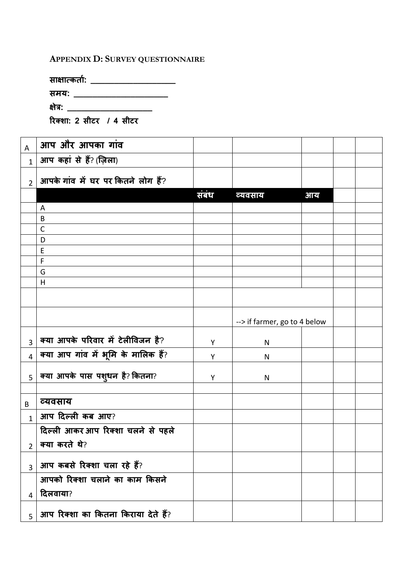## **APPENDIX D: SURVEY QUESTIONNAIRE**

| साक्षात्कतो: |  |
|--------------|--|
| समय:         |  |
| क्षेत्र:     |  |

| रिक्शा: 2 सीटर  / 4 सीटर |  |  |  |  |  |
|--------------------------|--|--|--|--|--|
|--------------------------|--|--|--|--|--|

| A              | आप और आपका गांव                          |       |                              |    |  |
|----------------|------------------------------------------|-------|------------------------------|----|--|
| $\mathbf{1}$   | आप कहां से हैं? (ज़िला)                  |       |                              |    |  |
| $\overline{2}$ | आपके गांव में घर पर कितने लोग हैं?       |       |                              |    |  |
|                |                                          | संबंध | व्यवसाय                      | आय |  |
|                | A                                        |       |                              |    |  |
|                | B                                        |       |                              |    |  |
|                | $\mathsf{C}$                             |       |                              |    |  |
|                | D                                        |       |                              |    |  |
|                | E<br>$\mathsf F$                         |       |                              |    |  |
|                | G                                        |       |                              |    |  |
|                | H                                        |       |                              |    |  |
|                |                                          |       |                              |    |  |
|                |                                          |       |                              |    |  |
|                |                                          |       | --> if farmer, go to 4 below |    |  |
| 3              | क्या आपके परिवार में टेलीविजन है?        | Y     | N                            |    |  |
| 4              | क्या आप गांव में भूमि के मालिक हैं?      | Y     | N                            |    |  |
| 5              | क्या आपके पास पशुधन है? कितना?           | Y     | N                            |    |  |
|                |                                          |       |                              |    |  |
| B              | व्यवसाय                                  |       |                              |    |  |
| $\mathbf{1}$   | आप दिल्ली कब आए?                         |       |                              |    |  |
|                | दिल्ली आकर आप रिक्शा चलने से पहले        |       |                              |    |  |
| 2              | क्या करते थे?                            |       |                              |    |  |
| $\overline{3}$ | आप कबसे रिक्शा चला रहे हैं?              |       |                              |    |  |
|                | आपको रिक्शा चलाने का काम किसने           |       |                              |    |  |
| 4              | दिलवाया?                                 |       |                              |    |  |
|                | $_5$ आप रिक्शा का कितना किराया देते हैं? |       |                              |    |  |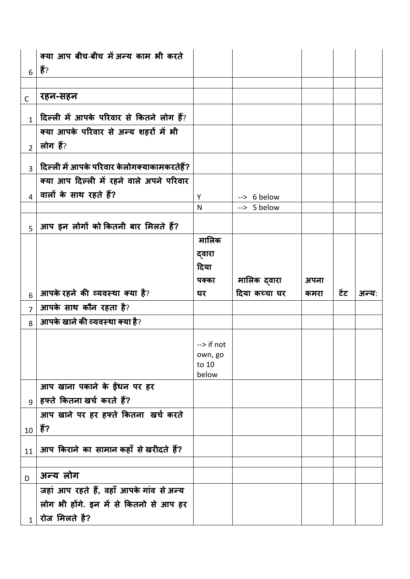|                | क्या आप बीच-बीच में अन्य काम भी करते        |                                 |                      |      |      |       |
|----------------|---------------------------------------------|---------------------------------|----------------------|------|------|-------|
| 6              | हैं?                                        |                                 |                      |      |      |       |
|                |                                             |                                 |                      |      |      |       |
| $\mathsf{C}$   | रहन-सहन                                     |                                 |                      |      |      |       |
| $\mathbf{1}$   | दिल्ली में आपके परिवार से कितने लोग हैं?    |                                 |                      |      |      |       |
|                | क्या आपके परिवार से अन्य शहरों में भी       |                                 |                      |      |      |       |
| $\overline{2}$ | लोग हैं?                                    |                                 |                      |      |      |       |
| $\overline{3}$ | दिल्ली में आपके परिवार केलोगक्याकामकरतेहैं? |                                 |                      |      |      |       |
|                | क्या आप दिल्ली में रहने वाले अपने परिवार    |                                 |                      |      |      |       |
| $\overline{4}$ | वालों के साथ रहते हैं?                      | Υ                               | --> 6 below          |      |      |       |
|                |                                             | N                               | $\leftarrow$ 5 below |      |      |       |
| 5 <sup>1</sup> | आप इन लोगों को कितनी बार मिलते हैं?         |                                 |                      |      |      |       |
|                |                                             | मालिक                           |                      |      |      |       |
|                |                                             | द्वारा                          |                      |      |      |       |
|                |                                             | दिया                            |                      |      |      |       |
|                |                                             | पक्का                           | मालिक द्वारा         | अपना |      |       |
|                |                                             |                                 |                      |      |      |       |
| 6              | आपके रहने की व्यवस्था क्या है?              | घर                              | दिया कच्चा घर        | कमरा | टेंट | अन्य: |
| $\overline{7}$ | आपके साथ कौन रहता है?                       |                                 |                      |      |      |       |
| 8              | आपके खाने की व्यवस्था क्या है?              |                                 |                      |      |      |       |
|                |                                             |                                 |                      |      |      |       |
|                |                                             | $\rightarrow$ if not<br>own, go |                      |      |      |       |
|                |                                             | to 10                           |                      |      |      |       |
|                |                                             | below                           |                      |      |      |       |
|                | आप खाना पकाने के ईंधन पर हर                 |                                 |                      |      |      |       |
| $\overline{9}$ | हफ्ते कितना खर्च करते हैं?                  |                                 |                      |      |      |       |
|                | आप खाने पर हर हफ्ते कितना खर्च करते         |                                 |                      |      |      |       |
| 10             | हैं?                                        |                                 |                      |      |      |       |
| 11             | आप किराने का सामान कहाँ से खरीदते हैं?      |                                 |                      |      |      |       |
| D              | अन्य लोग                                    |                                 |                      |      |      |       |
|                | जहां आप रहते हैं, वहाँ आपके गांव से अन्य    |                                 |                      |      |      |       |
|                | लोग भी होंगे. इन में से कितनो से आप हर      |                                 |                      |      |      |       |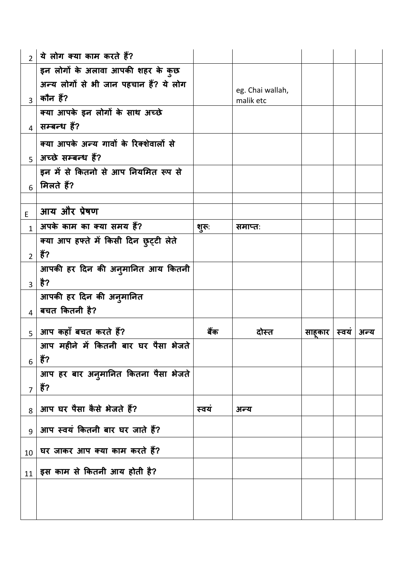| $2^{\circ}$     | ये लोग क्या काम करते हैं?              |       |                  |        |      |      |
|-----------------|----------------------------------------|-------|------------------|--------|------|------|
|                 | इन लोगों के अलावा आपकी शहर के कुछ      |       |                  |        |      |      |
|                 | अन्य लोगों से भी जान पहचान हैं? ये लोग |       | eg. Chai wallah, |        |      |      |
| $\overline{3}$  | कौन हैं?                               |       | malik etc        |        |      |      |
|                 | क्या आपके इन लोगों के साथ अच्छे        |       |                  |        |      |      |
| $\overline{4}$  | सम्बन्ध हैं?                           |       |                  |        |      |      |
|                 | क्या आपके अन्य गावों के रिक्शेवालों से |       |                  |        |      |      |
|                 | $_5$   अच्छे सम्बन्ध हैं?              |       |                  |        |      |      |
|                 | इन में से कितनो से आप नियमित रूप से    |       |                  |        |      |      |
| 6               | मिलते हैं?                             |       |                  |        |      |      |
|                 |                                        |       |                  |        |      |      |
| E               | आय और प्रेषण                           |       |                  |        |      |      |
| $\mathbf{1}$    | अपके काम का क्या समय हैं?              | शूरू: | समाप्तः          |        |      |      |
|                 | क्या आप हफ्ते में किसी दिन छुट्टी लेते |       |                  |        |      |      |
| 2 <sup>1</sup>  | हैं?                                   |       |                  |        |      |      |
|                 | आपकी हर दिन की अनुमानित आय कितनी       |       |                  |        |      |      |
| $\overline{3}$  | है?                                    |       |                  |        |      |      |
|                 |                                        |       |                  |        |      |      |
|                 | आपकी हर दिन की अनुमानित                |       |                  |        |      |      |
| $\overline{4}$  | बचत कितनी है?                          |       |                  |        |      |      |
| 5 <sup>1</sup>  | आप कहाँ बचत करते हैं?                  | बैंक  | दोस्त            | साहकार | स्वय | अन्य |
|                 | आप महीने में कितनी बार घर पैसा भेजते   |       |                  |        |      |      |
| 6               | हैं?                                   |       |                  |        |      |      |
|                 | आप हर बार अनुमानित कितना पैसा भेजते    |       |                  |        |      |      |
| $\overline{7}$  | हैं?                                   |       |                  |        |      |      |
| 8               | आप घर पैसा कैसे भेजते हैं?             | स्वयं | अन्य             |        |      |      |
| $\overline{9}$  | आप स्वयं कितनी बार घर जाते हैं?        |       |                  |        |      |      |
| 10 <sup>°</sup> | घर जाकर आप क्या काम करते हैं?          |       |                  |        |      |      |
|                 | $_{11}$ इस काम से कितनी आय होती है?    |       |                  |        |      |      |
|                 |                                        |       |                  |        |      |      |
|                 |                                        |       |                  |        |      |      |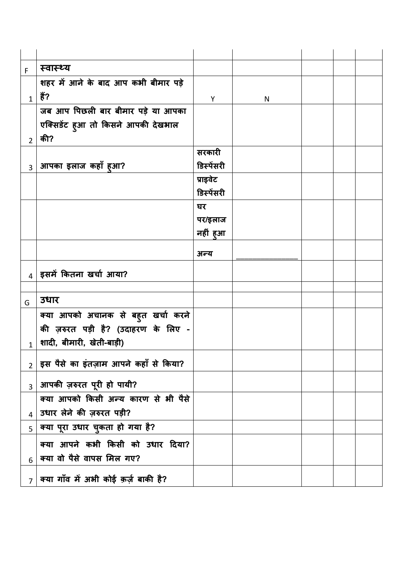| F              | स्वास्थ्य                                                                 |            |   |  |  |
|----------------|---------------------------------------------------------------------------|------------|---|--|--|
|                | शहर में आने के बाद आप कभी बीमार पड़े                                      |            |   |  |  |
| $\mathbf{1}$   | हैं?                                                                      | Y          | N |  |  |
|                | जब आप पिछली बार बीमार पड़े या आपका                                        |            |   |  |  |
|                | एक्सिडेंट हुआ तो किसने आपकी देखभाल                                        |            |   |  |  |
| $\overline{2}$ | की?                                                                       |            |   |  |  |
|                |                                                                           | सरकारी     |   |  |  |
|                | $_3$   आपका इलाज कहाँ हुआ?                                                | डिस्पेंसरी |   |  |  |
|                |                                                                           | प्राइवेट   |   |  |  |
|                |                                                                           | डिस्पेंसरी |   |  |  |
|                |                                                                           | घर         |   |  |  |
|                |                                                                           | पर/इलाज    |   |  |  |
|                |                                                                           | नहीं हुआ   |   |  |  |
|                |                                                                           | अन्य       |   |  |  |
|                | $_4$   इसमें कितना खर्चा आया?                                             |            |   |  |  |
|                |                                                                           |            |   |  |  |
|                |                                                                           |            |   |  |  |
| G              | उधार                                                                      |            |   |  |  |
|                | क्या आपको अचानक से बहुत खर्चा करने                                        |            |   |  |  |
|                | की ज़रुरत पड़ी है? (उदाहरण के लिए -                                       |            |   |  |  |
| $\mathbf{1}$   | शादी, बीमारी, खेती-बाड़ी)                                                 |            |   |  |  |
| $2^{\circ}$    | इस पैसे का इंतज़ाम आपने कहाँ से किया?                                     |            |   |  |  |
|                | $_3$   आपकी ज़रुरत पूरी हो पायी?                                          |            |   |  |  |
|                | क्या आपको किसी अन्य कारण से भी पैसे                                       |            |   |  |  |
| $\overline{4}$ | उधार लेने की ज़रुरत पड़ी?                                                 |            |   |  |  |
| 5              | क्या पूरा उधार चुकता हो गया है?                                           |            |   |  |  |
|                |                                                                           |            |   |  |  |
|                | क्या आपने कभी किसी को उधार दिया?                                          |            |   |  |  |
| 6              | क्या वो पैसे वापस मिल गए?<br>$_7$   क्या गाँव में अभी कोई क़र्ज़ बाकी है? |            |   |  |  |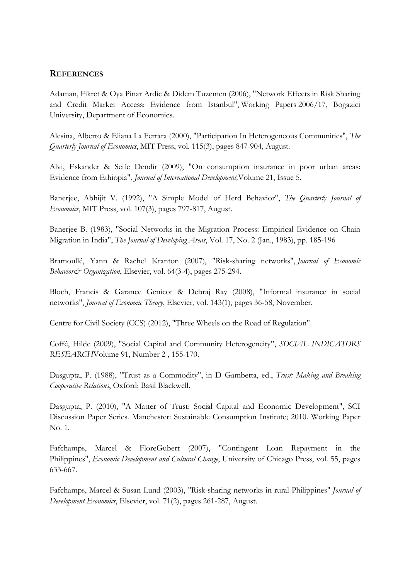## **REFERENCES**

Adaman, Fikret & Oya Pinar Ardic & Didem Tuzemen (2006), ["Network Effects in Risk Sharing](http://ideas.repec.org/p/bou/wpaper/2006-17.html)  [and Credit Market Access: Evidence from Istanbul"](http://ideas.repec.org/p/bou/wpaper/2006-17.html), [Working Papers](http://ideas.repec.org/s/bou/wpaper.html) 2006/17, Bogazici University, Department of Economics.

Alesina, Alberto & Eliana La Ferrara (2000), ["Participation In Heterogeneous Communities"](http://ideas.repec.org/a/tpr/qjecon/v115y2000i3p847-904.html), *[The](http://ideas.repec.org/s/tpr/qjecon.html)  [Quarterly Journal of Economics](http://ideas.repec.org/s/tpr/qjecon.html)*, MIT Press, vol. 115(3), pages 847-904, August.

Alvi, Eskander & Seife Dendir (2009), "On consumption insurance in poor urban areas: Evidence from Ethiopia", *[Journal of International Development,](http://onlinelibrary.wiley.com/journal/10.1002/(ISSN)1099-1328)*[Volume 21, Issue 5.](http://onlinelibrary.wiley.com/doi/10.1002/jid.v21:5/issuetoc)

Banerjee, Abhijit V. (1992), "A Simple Model of Herd Behavior", *The Quarterly Journal of Economics*, MIT Press, vol. 107(3), pages 797-817, August.

Banerjee B. (1983), "Social Networks in the Migration Process: Empirical Evidence on Chain Migration in India", *The Journal of Developing Areas*, Vol. 17, No. 2 (Jan., 1983), pp. 185-196

Bramoullé, Yann & Rachel Kranton (2007), ["Risk-sharing networks"](http://ideas.repec.org/a/eee/jeborg/v64y2007i3-4p275-294.html), *[Journal of Economic](http://ideas.repec.org/s/eee/jeborg.html)  [Behavior& Organization](http://ideas.repec.org/s/eee/jeborg.html)*, Elsevier, vol. 64(3-4), pages 275-294.

Bloch, Francis & Garance Genicot & Debraj Ray (2008), ["Informal insurance in social](http://ideas.repec.org/a/eee/jetheo/v143y2008i1p36-58.html)  [networks"](http://ideas.repec.org/a/eee/jetheo/v143y2008i1p36-58.html), *[Journal of Economic Theory](http://ideas.repec.org/s/eee/jetheo.html)*, Elsevier, vol. 143(1), pages 36-58, November.

Centre for Civil Society (CCS) (2012), "Three Wheels on the Road of Regulation".

Coffé, [Hilde](http://www.springerlink.com/content/?Author=Hilde+Coff%c3%a9) (2009), ["Social Capital and Community Heterogeneity"](http://www.springerlink.com/content/3613vx5133k8207u/), *[SOCIAL INDICATORS](http://www.springerlink.com/content/0303-8300/)  [RESEARCH](http://www.springerlink.com/content/0303-8300/)*[Volume 91, Number 2](http://www.springerlink.com/content/0303-8300/91/2/) , 155-170.

Dasgupta, P. (1988), "Trust as a Commodity", in D Gambetta, ed., *Trust: Making and Breaking Cooperative Relations*, Oxford: Basil Blackwell.

Dasgupta, P. (2010), "A Matter of Trust: Social Capital and Economic Development", SCI Discussion Paper Series. Manchester: Sustainable Consumption Institute; 2010. Working Paper No. 1.

Fafchamps, Marcel & FloreGubert (2007), ["Contingent Loan Repayment in the](http://ideas.repec.org/a/ucp/ecdecc/v55y2007p633-667.html)  [Philippines"](http://ideas.repec.org/a/ucp/ecdecc/v55y2007p633-667.html), *[Economic Development and Cultural Change](http://ideas.repec.org/s/ucp/ecdecc.html)*, University of Chicago Press, vol. 55, pages 633-667.

Fafchamps, Marcel & Susan Lund (2003), ["Risk-sharing networks in rural Philippines"](http://ideas.repec.org/a/eee/deveco/v71y2003i2p261-287.html) *[Journal of](http://ideas.repec.org/s/eee/deveco.html)  [Development Economics](http://ideas.repec.org/s/eee/deveco.html)*, Elsevier, vol. 71(2), pages 261-287, August.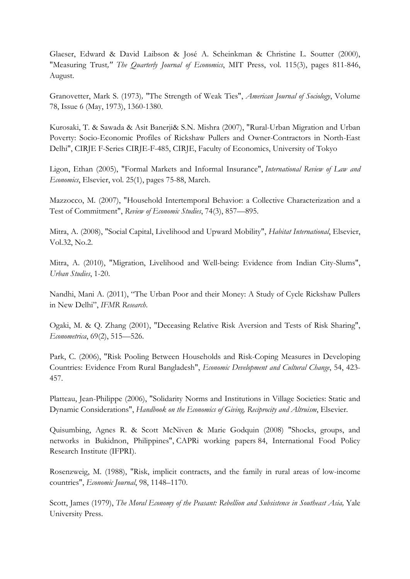Glaeser, Edward & David Laibson & José A. Scheinkman & Christine L. Soutter (2000), "Measuring Trust*," The Quarterly Journal of Economics*, MIT Press, vol. 115(3), pages 811-846, August.

Granovetter, Mark S. (1973)*,* "The Strength of Weak Ties", *American Journal of Sociology*, Volume 78, Issue 6 (May, 1973), 1360-1380.

Kurosaki, T. & Sawada & Asit Banerji& S.N. Mishra (2007), "Rural-Urban Migration and Urban Poverty: Socio-Economic Profiles of Rickshaw Pullers and Owner-Contractors in North-East Delhi", CIRJE F-Series CIRJE-F-485, CIRJE, Faculty of Economics, University of Tokyo

Ligon, Ethan (2005), ["Formal Markets and Informal Insurance"](http://ideas.repec.org/a/eee/irlaec/v25y2005i1p75-88.html), *[International Review of Law and](http://ideas.repec.org/s/eee/irlaec.html)  [Economics](http://ideas.repec.org/s/eee/irlaec.html)*, Elsevier, vol. 25(1), pages 75-88, March.

Mazzocco, M. (2007), "Household Intertemporal Behavior: a Collective Characterization and a Test of Commitment", *Review of Economic Studies*, 74(3), 857—895.

Mitra, A. (2008), "Social Capital, Livelihood and Upward Mobility", *Habitat International*, Elsevier, Vol.32, No.2.

Mitra, A. (2010), "Migration, Livelihood and Well-being: Evidence from Indian City-Slums", *Urban Studies*, 1-20.

Nandhi, Mani A. (2011), "The Urban Poor and their Money: A Study of Cycle Rickshaw Pullers in New Delhi", *IFMR Research*.

Ogaki, M. & Q. Zhang (2001), "Deceasing Relative Risk Aversion and Tests of Risk Sharing", *Econometrica*, 69(2), 515—526.

Park, C. (2006), "Risk Pooling Between Households and Risk-Coping Measures in Developing Countries: Evidence From Rural Bangladesh", *Economic Development and Cultural Change*, 54, 423- 457.

Platteau, Jean-Philippe (2006), ["Solidarity Norms and Institutions in Village Societies: Static and](http://ideas.repec.org/h/eee/givchp/1-12.html)  [Dynamic Considerations"](http://ideas.repec.org/h/eee/givchp/1-12.html), *[Handbook on the Economics of Giving, Reciprocity and Altruism](http://ideas.repec.org/s/eee/givchp.html)*, Elsevier.

Quisumbing, Agnes R. & Scott McNiven & Marie Godquin (2008) ["Shocks, groups,](http://ideas.repec.org/p/fpr/worpps/84.html) and [networks in Bukidnon, Philippines"](http://ideas.repec.org/p/fpr/worpps/84.html), [CAPRi working papers](http://ideas.repec.org/s/fpr/worpps.html) 84, International Food Policy Research Institute (IFPRI).

Rosenzweig, M. (1988), "Risk, implicit contracts, and the family in rural areas of low-income countries", *Economic Journal*, 98, 1148–1170.

Scott, James (1979), *The Moral Economy of the Peasant: Rebellion and Subsistence in Southeast Asia,* Yale University Press.